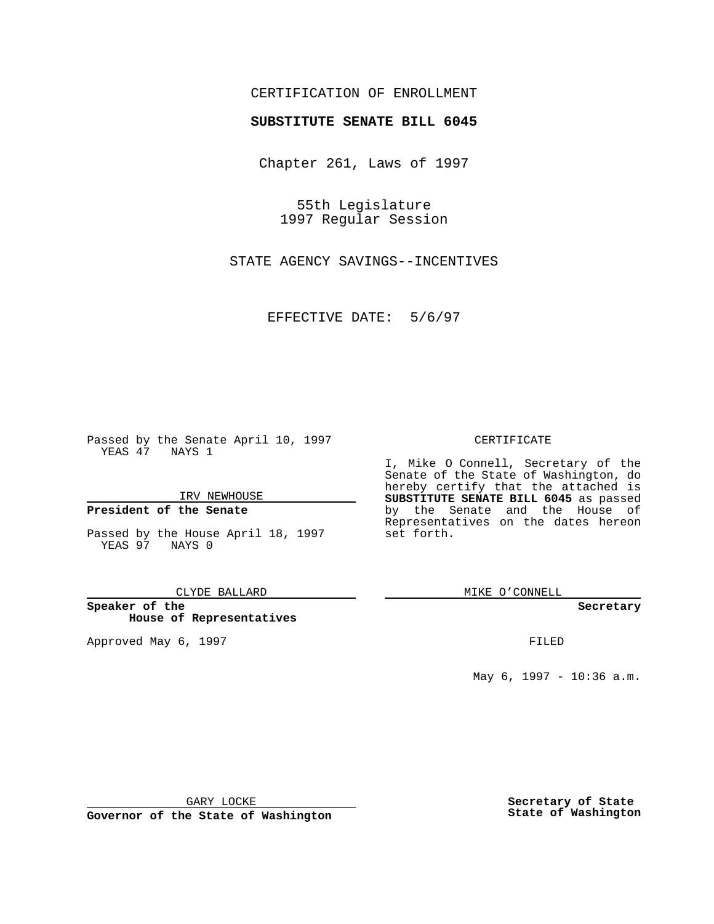## CERTIFICATION OF ENROLLMENT

# **SUBSTITUTE SENATE BILL 6045**

Chapter 261, Laws of 1997

55th Legislature 1997 Regular Session

STATE AGENCY SAVINGS--INCENTIVES

EFFECTIVE DATE: 5/6/97

Passed by the Senate April 10, 1997 YEAS 47 NAYS 1

IRV NEWHOUSE

## **President of the Senate**

Passed by the House April 18, 1997 YEAS 97 NAYS 0

### CLYDE BALLARD

**Speaker of the House of Representatives**

Approved May 6, 1997 **FILED** 

### CERTIFICATE

I, Mike O Connell, Secretary of the Senate of the State of Washington, do hereby certify that the attached is **SUBSTITUTE SENATE BILL 6045** as passed by the Senate and the House of Representatives on the dates hereon set forth.

MIKE O'CONNELL

### **Secretary**

May 6, 1997 - 10:36 a.m.

GARY LOCKE

**Governor of the State of Washington**

**Secretary of State State of Washington**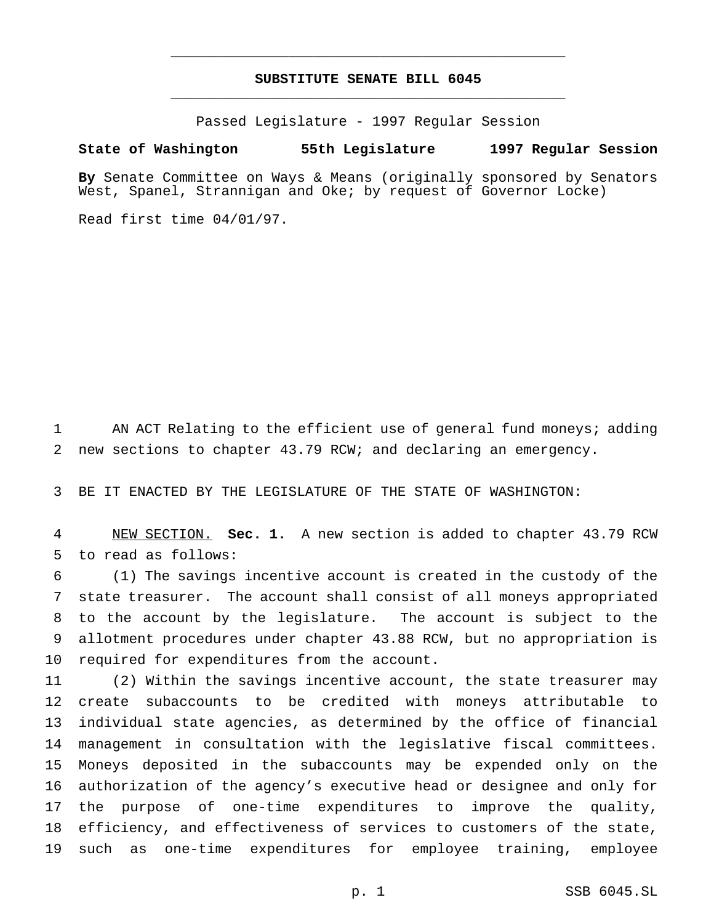# **SUBSTITUTE SENATE BILL 6045** \_\_\_\_\_\_\_\_\_\_\_\_\_\_\_\_\_\_\_\_\_\_\_\_\_\_\_\_\_\_\_\_\_\_\_\_\_\_\_\_\_\_\_\_\_\_\_

\_\_\_\_\_\_\_\_\_\_\_\_\_\_\_\_\_\_\_\_\_\_\_\_\_\_\_\_\_\_\_\_\_\_\_\_\_\_\_\_\_\_\_\_\_\_\_

Passed Legislature - 1997 Regular Session

## **State of Washington 55th Legislature 1997 Regular Session**

**By** Senate Committee on Ways & Means (originally sponsored by Senators West, Spanel, Strannigan and Oke; by request of Governor Locke)

Read first time 04/01/97.

 AN ACT Relating to the efficient use of general fund moneys; adding new sections to chapter 43.79 RCW; and declaring an emergency.

BE IT ENACTED BY THE LEGISLATURE OF THE STATE OF WASHINGTON:

 NEW SECTION. **Sec. 1.** A new section is added to chapter 43.79 RCW to read as follows:

 (1) The savings incentive account is created in the custody of the state treasurer. The account shall consist of all moneys appropriated to the account by the legislature. The account is subject to the allotment procedures under chapter 43.88 RCW, but no appropriation is required for expenditures from the account.

 (2) Within the savings incentive account, the state treasurer may create subaccounts to be credited with moneys attributable to individual state agencies, as determined by the office of financial management in consultation with the legislative fiscal committees. Moneys deposited in the subaccounts may be expended only on the authorization of the agency's executive head or designee and only for the purpose of one-time expenditures to improve the quality, efficiency, and effectiveness of services to customers of the state, such as one-time expenditures for employee training, employee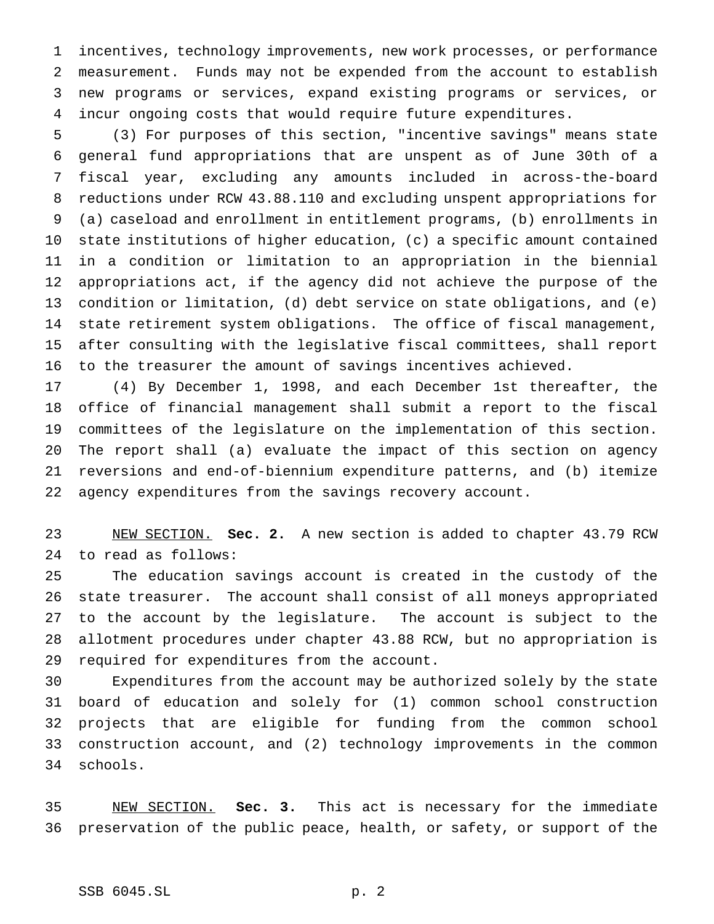incentives, technology improvements, new work processes, or performance measurement. Funds may not be expended from the account to establish new programs or services, expand existing programs or services, or incur ongoing costs that would require future expenditures.

 (3) For purposes of this section, "incentive savings" means state general fund appropriations that are unspent as of June 30th of a fiscal year, excluding any amounts included in across-the-board reductions under RCW 43.88.110 and excluding unspent appropriations for (a) caseload and enrollment in entitlement programs, (b) enrollments in state institutions of higher education, (c) a specific amount contained in a condition or limitation to an appropriation in the biennial appropriations act, if the agency did not achieve the purpose of the condition or limitation, (d) debt service on state obligations, and (e) state retirement system obligations. The office of fiscal management, after consulting with the legislative fiscal committees, shall report to the treasurer the amount of savings incentives achieved.

 (4) By December 1, 1998, and each December 1st thereafter, the office of financial management shall submit a report to the fiscal committees of the legislature on the implementation of this section. The report shall (a) evaluate the impact of this section on agency reversions and end-of-biennium expenditure patterns, and (b) itemize agency expenditures from the savings recovery account.

 NEW SECTION. **Sec. 2.** A new section is added to chapter 43.79 RCW to read as follows:

 The education savings account is created in the custody of the state treasurer. The account shall consist of all moneys appropriated to the account by the legislature. The account is subject to the allotment procedures under chapter 43.88 RCW, but no appropriation is required for expenditures from the account.

 Expenditures from the account may be authorized solely by the state board of education and solely for (1) common school construction projects that are eligible for funding from the common school construction account, and (2) technology improvements in the common schools.

 NEW SECTION. **Sec. 3.** This act is necessary for the immediate preservation of the public peace, health, or safety, or support of the